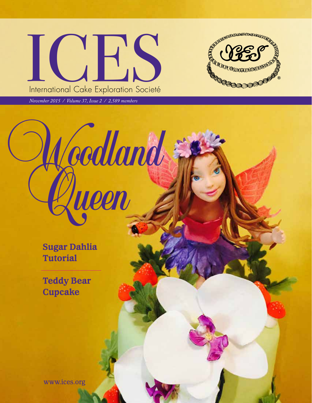

Woodland Queen



November 2015 / ICES Newsletter

*November 2015 / Volume 37, Issue 2 / 2,589 members*

**Sugar Dahlia Tutorial** 

**Teddy Bear Cupcake**

www.ices.org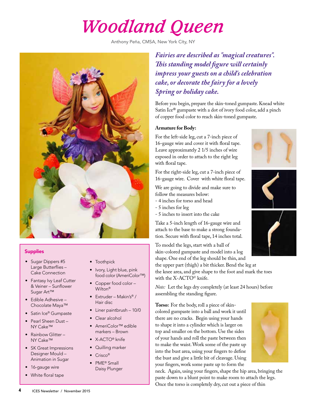# *Woodland Queen*

Anthony Peña, CMSA, New York City, NY



## **Supplies**

- Sugar Dippers #5 Large Butterflies – Cake Connection
- Fantasy Ivy Leaf Cutter & Veiner – Sunflower Sugar Art™
- Edible Adhesive Chocolate Maya™
- Satin Ice® Gumpaste
- Pearl Sheen Dust NY Cake™
- Rainbow Glitter NY Cake™
- SK Great Impressions Designer Mould – Animation in Sugar
- 16-gauge wire
- White floral tape
- **Toothpick**
- Ivory, Light blue, pink food color (AmeriColor™)
- Copper food color Wilton®
- Extruder Makin's® / Hair disc
- Liner paintbrush 10/0
- Clear alcohol
- AmeriColor™ edible markers – Brown
- X-ACTO® knife
- Quilling marker
- Crisco®
- PME® Small Daisy Plunger

*Fairies are described as "magical creatures". This standing model figure will certainly impress your guests on a child's celebration cake, or decorate the fairy for a lovely Spring or holiday cake.* 

Before you begin, prepare the skin-toned gumpaste. Knead white Satin Ice® gumpaste with a dot of ivory food color, add a pinch of copper food color to reach skin-toned gumpaste.

#### **Armature for Body:**

For the left-side leg, cut a 7-inch piece of 16-gauge wire and cover it with floral tape. Leave approximately 2 1/5 inches of wire exposed in order to attach to the right leg with floral tape.

For the right-side leg, cut a 7-inch piece of 16-gauge wire. Cover with white floral tape.

We are going to divide and make sure to follow the measures below:

- 4 inches for torso and head
- 5 inches for leg
- 5 inches to insert into the cake

Take a 5-inch length of 16-gauge wire and attach to the base to make a strong foundation. Secure with floral tape, 14 inches total.

To model the legs, start with a ball of skin-colored gumpaste and model into a log shape. One end of the leg should be thin, and

the upper part (thigh) a bit thicker. Bend the leg at the knee area, and give shape to the foot and mark the toes with the X-ACTO<sup>®</sup> knife.

*Note:* Let the legs dry completely (at least 24 hours) before assembling the standing figure.

**Torso:** For the body, roll a piece of skincolored gumpaste into a ball and work it until there are no cracks. Begin using your hands to shape it into a cylinder which is larger on top and smaller on the bottom. Use the sides of your hands and roll the paste between then to make the waist. Work some of the paste up into the bust area, using your fingers to define the bust and give a little bit of cleavage. Using your fingers, work some paste up to form the



neck. Again, using your fingers, shape the hip area, bringing the paste down to a blunt point to make room to attach the legs. Once the torso is completely dry, cut out a piece of thin



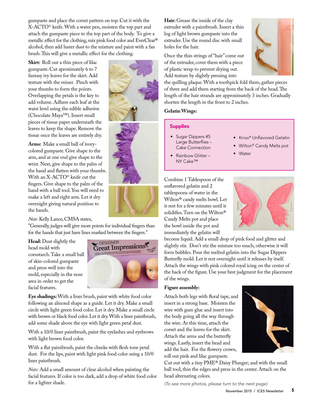gumpaste and place the corset pattern on top. Cut it with the X-ACTO© knife. With a water pen, moisten the top part and attach the gumpaste piece to the top part of the body. To give a metallic effect for the clothing, mix pink food color and EverClear® alcohol, then add luster dust to the mixture and paint with a fan brush. This will give a metallic effect for the clothing.

**Skirt:** Roll out a thin piece of lilac gumpaste. Cut aproximately 6 to 7 fantasy ivy leaves for the skirt. Add texture with the veiner. Pinch with your thumbs to form the points. Overlapping the petals is the key to add volume. Adhere each leaf at the waist level using the edible adhesive (Chocolate Maya™). Insert small pieces of tissue paper underneath the leaves to keep the shape. Remove the tissue once the leaves are entirely dry.

**Arms:** Make a small ball of ivorycolored gumpaste. Give shape to the arm, and at one end give shape to the wrist. Next, give shape to the palm of the hand and flatten with your thumbs. With an X-ACTO© knife cut the fingers. Give shape to the palm of the hand with a ball tool. You will need to make a left and right arm. Let it dry overnight giving natural position to the hands.

*Note:* Kelly Lance, CMSA states,

"Generally, judges will give more points for individual fingers than for the hands that just have lines marked between the fingers."

**Head:** Dust slightly the head mold with cornstarch. Take a small ball of skin-colored gumpaste and press well into the mold, especially in the nose area in order to get the facial features.



**Eye shadings:** With a liner brush, paint with white food color following an almond shape as a guide. Let it dry. Make a small circle with light green food color. Let it dry. Make a small circle with brown or black food color. Let it dry. With a liner paintbrush, add some shade above the eye with light green petal dust.

With a 10/0 liner paintbrush, paint the eyelashes and eyebrows with light brown food color.

With a flat paintbrush, paint the cheeks with flesh tone petal dust. For the lips, paint with light pink food color using a 10/0 liner paintbrush.

*Note:* Add a small amount of clear alcohol when painting the facial features. If color is too dark, add a drop of white food color for a lighter shade.

**Hair:** Grease the inside of the clay extruder with a paintbrush. Insert a thin log of light brown gumpaste into the extruder. Use the round disc with small holes for the hair.

Once the thin strings of "hair" come out of the extruder, cover them with a piece of plastic wrap to prevent drying out. Add texture by slightly pressing into



the quilling plaque. With a toothpick fold them, gather pieces of three and add them starting from the back of the head. The length of the hair strands are approximately 3 inches. Gradually shorten the length in the front to 2 inches.

## **Gelatin Wings:**

#### **Supplies**

- Sugar Dippers #5 Large Butterflies – Cake Connection
- Rainbow Glitter -NY Cake™
- Knox® Unflavored Gelatin
- Wilton® Candy Melts pot
- Water

Combine 1 Tablespoon of the unflavored gelatin and 2 tablespoons of water in the Wilton® candy melts bowl. Let it rest for a few minutes until it solidifies. Turn on the Wilton® Candy Melts pot and place the bowl inside the pot and immediately the gelatin will



become liquid. Add a small drop of pink food and glitter and slightly stir. Don't stir the mixture too much; otherwise it will form bubbles. Pour the melted gelatin into the Sugar Dippers Butterfly mold. Let it rest overnight until it releases by itself. Attach the wings with pink colored royal icing on the center of the back of the figure. Use your best judgment for the placement of the wings.

#### **Figure assembly:**

Attach both legs with floral tape, and insert in a strong base. Moisten the wire with gum glue and insert into the body going all the way through the wire. At this time, attach the corset and the leaves for the skirt. Attach the arms and the butterfly wings. Lastly, insert the head and add the hair. For the flowery crown, roll out pink and lilac gumpaste.



Cut out with a tiny PME® Daisy Plunger; and with the small ball tool, thin the edges and press in the center. Attach on the head alternating colors.

*(To see more photos, please turn to the next page)*